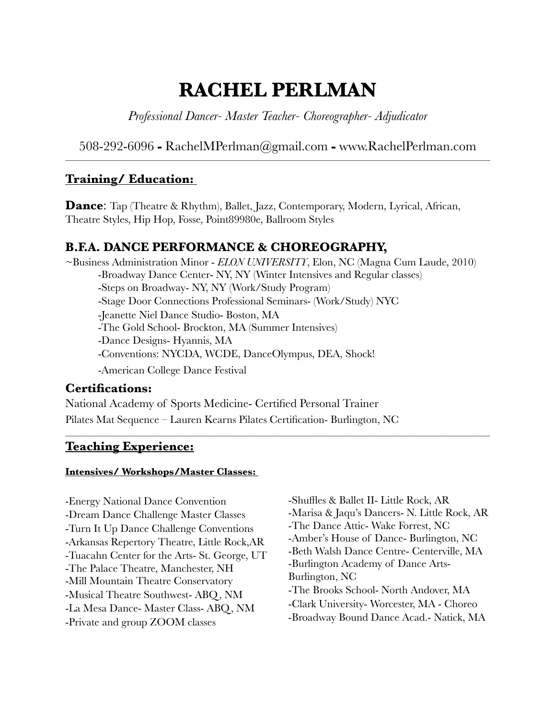# **RACHEL PERLMAN**

*Professional Dancer- Master Teacher- Choreographer- Adjudicator* 

508-292-6096 **-** RachelMPerlman@gmail.com **-** www.RachelPerlman.com

## **Training/ Education:**

**Dance:** Tap (Theatre & Rhythm), Ballet, Jazz, Contemporary, Modern, Lyrical, African, Theatre Styles, Hip Hop, Fosse, Point89980e, Ballroom Styles

# **B.F.A. DANCE PERFORMANCE & CHOREOGRAPHY,**

~Business Administration Minor - *ELON UNIVERSITY*, Elon, NC (Magna Cum Laude, 2010) -Broadway Dance Center- NY, NY (Winter Intensives and Regular classes) -Steps on Broadway- NY, NY (Work/Study Program) -Stage Door Connections Professional Seminars- (Work/Study) NYC -Jeanette Niel Dance Studio- Boston, MA -The Gold School- Brockton, MA (Summer Intensives) -Dance Designs- Hyannis, MA -Conventions: NYCDA, WCDE, DanceOlympus, DEA, Shock! -American College Dance Festival

**\_\_\_\_\_\_\_\_\_\_\_\_\_\_\_\_\_\_\_\_\_\_\_\_\_\_\_\_\_\_\_\_\_\_\_\_\_\_\_\_\_\_\_\_\_\_\_\_\_\_\_\_\_\_\_\_\_\_\_\_\_\_\_\_\_\_\_\_\_\_\_\_\_\_\_\_\_\_\_\_\_\_\_\_\_\_\_\_\_\_\_\_\_\_\_\_\_\_\_\_\_\_\_\_\_\_\_\_\_\_\_\_\_\_\_\_\_** 

## **Certifications:**

National Academy of Sports Medicine- Certified Personal Trainer Pilates Mat Sequence – Lauren Kearns Pilates Certification- Burlington, NC

# **Teaching Experience:**

#### **Intensives/ Workshops/Master Classes:**

-Energy National Dance Convention -Dream Dance Challenge Master Classes -Turn It Up Dance Challenge Conventions -Arkansas Repertory Theatre, Little Rock,AR -Tuacahn Center for the Arts- St. George, UT -The Palace Theatre, Manchester, NH -Mill Mountain Theatre Conservatory -Musical Theatre Southwest- ABQ, NM -La Mesa Dance- Master Class- ABQ, NM -Private and group ZOOM classes

-Shuffles & Ballet II- Little Rock, AR -Marisa & Jaqu's Dancers- N. Little Rock, AR -The Dance Attic- Wake Forrest, NC -Amber's House of Dance- Burlington, NC -Beth Walsh Dance Centre- Centerville, MA -Burlington Academy of Dance Arts-Burlington, NC -The Brooks School- North Andover, MA -Clark University- Worcester, MA - Choreo -Broadway Bound Dance Acad.- Natick, MA